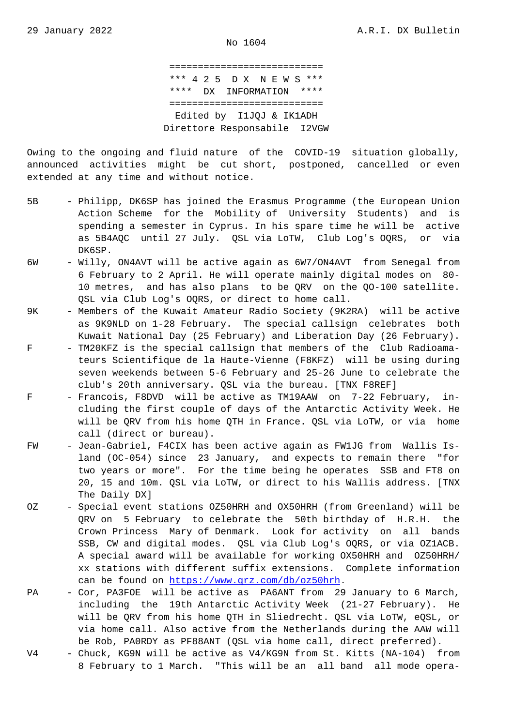=========================== \*\*\* 4 2 5 D X N E W S \*\*\* \*\*\*\* DX INFORMATION \*\*\*\* =========================== Edited by I1JQJ & IK1ADH Direttore Responsabile I2VGW

Owing to the ongoing and fluid nature of the COVID-19 situation globally, announced activities might be cut short, postponed, cancelled or even extended at any time and without notice.

- 5B Philipp, DK6SP has joined the Erasmus Programme (the European Union Action Scheme for the Mobility of University Students) and is spending a semester in Cyprus. In his spare time he will be active as 5B4AQC until 27 July. QSL via LoTW, Club Log's OQRS, or via DK6SP.
- 6W Willy, ON4AVT will be active again as 6W7/ON4AVT from Senegal from 6 February to 2 April. He will operate mainly digital modes on 80- 10 metres, and has also plans to be QRV on the QO-100 satellite. QSL via Club Log's OQRS, or direct to home call.
- 9K Members of the Kuwait Amateur Radio Society (9K2RA) will be active as 9K9NLD on 1-28 February. The special callsign celebrates both Kuwait National Day (25 February) and Liberation Day (26 February).
- F TM20KFZ is the special callsign that members of the Club Radioama teurs Scientifique de la Haute-Vienne (F8KFZ) will be using during seven weekends between 5-6 February and 25-26 June to celebrate the club's 20th anniversary. QSL via the bureau. [TNX F8REF]
- F Francois, F8DVD will be active as TM19AAW on 7-22 February, in cluding the first couple of days of the Antarctic Activity Week. He will be QRV from his home QTH in France. QSL via LoTW, or via home call (direct or bureau).
- FW Jean-Gabriel, F4CIX has been active again as FW1JG from Wallis Is land (OC-054) since 23 January, and expects to remain there "for two years or more". For the time being he operates SSB and FT8 on 20, 15 and 10m. QSL via LoTW, or direct to his Wallis address. [TNX The Daily DX]
- OZ Special event stations OZ50HRH and OX50HRH (from Greenland) will be QRV on 5 February to celebrate the 50th birthday of H.R.H. the Crown Princess Mary of Denmark. Look for activity on all bands SSB, CW and digital modes. QSL via Club Log's OQRS, or via OZ1ACB. A special award will be available for working OX50HRH and OZ50HRH/ xx stations with different suffix extensions. Complete information can be found on https://www.qrz.com/db/oz50hrh.
- PA Cor, PA3FOE will be active as PA6ANT from 29 January to 6 March, including the 19th Antarctic Activity Week (21-27 February). He will be QRV from his home QTH in Sliedrecht. QSL via LoTW, eQSL, or via home call. [Also active from the Netherland](https://www.qrz.com/db/oz50hrh)s during the AAW will be Rob, PA0RDY as PF88ANT (QSL via home call, direct preferred).
- V4 Chuck, KG9N will be active as V4/KG9N from St. Kitts (NA-104) from 8 February to 1 March. "This will be an all band all mode opera-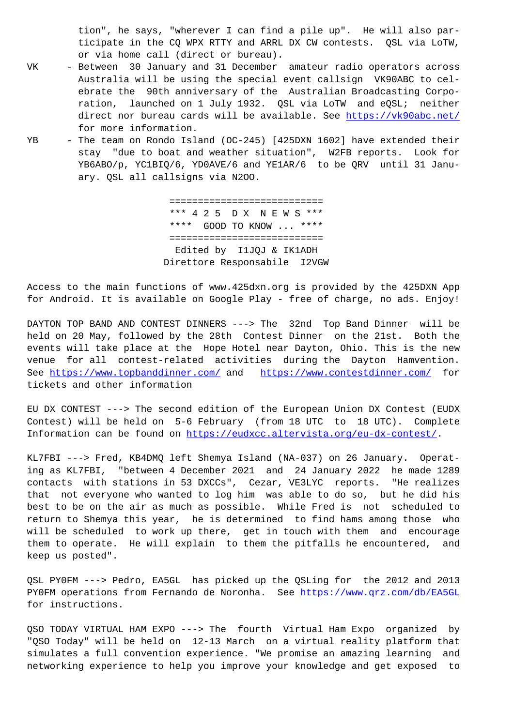ticipate in the CQ WPX RTTY and ARRL DX CW contests. QSL via LoTW, or via home call (direct or bureau).

- VK Between 30 January and 31 December amateur radio operators across Australia will be using the special event callsign VK90ABC to cel ebrate the 90th anniversary of the Australian Broadcasting Corpo ration, launched on 1 July 1932. QSL via LoTW and eQSL; neither direct nor bureau cards will be available. See https://vk90abc.net/ for more information.
- YB The team on Rondo Island (OC-245) [425DXN 1602] have extended their stay "due to boat and weather situation", W2F[B reports. Look for](https://vk90abc.net/) YB6ABO/p, YC1BIQ/6, YD0AVE/6 and YE1AR/6 to be QRV until 31 Janu ary. QSL all callsigns via N2OO.

 =========================== \*\*\* 4 2 5 D X N E W S \*\*\* \*\*\*\* GOOD TO KNOW ... \*\*\*\* =========================== Edited by I1JQJ & IK1ADH Direttore Responsabile I2VGW

Access to the main functions of www.425dxn.org is provided by the 425DXN App for Android. It is available on Google Play - free of charge, no ads. Enjoy!

DAYTON TOP BAND AND CONTEST DINNERS ---> The 32nd Top Band Dinner will be held on 20 May, followed by the 28th Contest Dinner on the 21st. Both the events will take place at the Hope Hotel near Dayton, Ohio. This is the new venue for all contest-related activities during the Dayton Hamvention. See https://www.topbanddinner.com/ and https://www.contestdinner.com/ for tickets and other information

EU DX CONTEST ---> The second edition of the European Union DX Contest (EUDX Cont[est\) will be held on 5-6 Febru](https://www.topbanddinner.com/)ary ([from 18 UTC to 18 UTC\). Comp](https://www.contestdinner.com/)lete Information can be found on https://eudxcc.altervista.org/eu-dx-contest/.

KL7FBI ---> Fred, KB4DMQ left Shemya Island (NA-037) on 26 January. Operating as KL7FBI, "between 4 December 2021 and 24 January 2022 he made 1289 contacts with stations in 5[3 DXCCs", Cezar, VE3LYC reports. "He real](https://eudxcc.altervista.org/eu-dx-contest/)izes that not everyone who wanted to log him was able to do so, but he did his best to be on the air as much as possible. While Fred is not scheduled to return to Shemya this year, he is determined to find hams among those who will be scheduled to work up there, get in touch with them and encourage them to operate. He will explain to them the pitfalls he encountered, and keep us posted".

QSL PY0FM ---> Pedro, EA5GL has picked up the QSLing for the 2012 and 2013 PY0FM operations from Fernando de Noronha. See https://www.qrz.com/db/EA5GL for instructions.

QSO TODAY VIRTUAL HAM EXPO ---> The fourth Vir[tual Ham Expo organized by](https://www.qrz.com/db/EA5GL) "QSO Today" will be held on 12-13 March on a virtual reality platform that simulates a full convention experience. "We promise an amazing learning and networking experience to help you improve your knowledge and get exposed to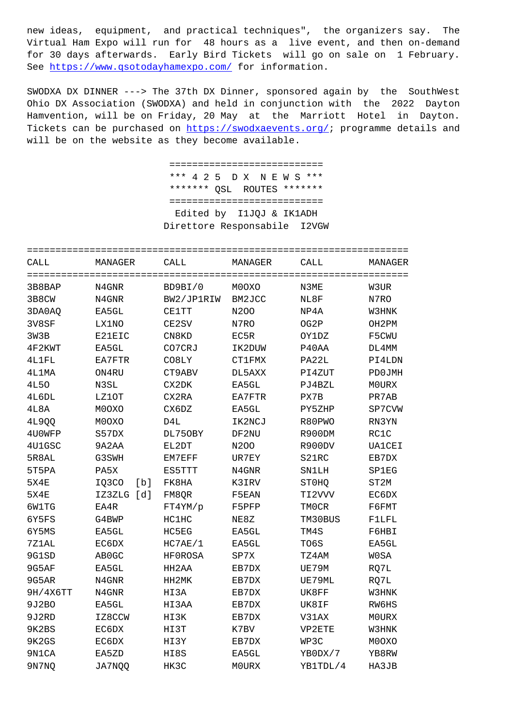virtuar ham sxpo will fun for to nours as a five event, and then on-demand for 30 days afterwards. Early Bird Tickets will go on sale on 1 February. See https://www.qsotodayhamexpo.com/ for information.

SWODXA DX DINNER ---> The 37th DX Dinner, sponsored again by the SouthWest Ohio DX Association (SWODXA) and held in conjunction with the 2022 Dayton Hamvention, will be on Friday, 20 May at the Marriott Hotel in Dayton. Tickets can be purchased on https://swodxaevents.org/; programme details and will be on the website as they become available.

> =========================== \*\*\* 4 2 5 D X N E W S \*\*\* \*\*\*\*\*\*\* QSL ROUTES \*\*\*\*\*\*\* ============================ Edited by I1JQJ & IK1ADH Direttore Responsabile I2VGW

| CALL             | MANAGER       | CALL            | MANAGER    | CALL         | MANAGER       |
|------------------|---------------|-----------------|------------|--------------|---------------|
| ================ | ==========    | =============== | ========== | =========    |               |
| 3B8BAP           | N4GNR         | BD9BI/0         | M0OXO      | N3ME         | W3UR          |
| 3B8CW            | N4GNR         | BW2/JP1RIW      | BM2JCC     | NL8F         | N7RO          |
| 3DA0AQ           | EA5GL         | <b>CE1TT</b>    | N200       | NP4A         | W3HNK         |
| 3V8SF            | LX1NO         | CE2SV           | N7RO       | OG2P         | OH2PM         |
| 3W3B             | E21EIC        | CN8KD           | EC5R       | OY1DZ        | F5CWU         |
| 4F2KWT           | EA5GL         | CO7CRJ          | IK2DUW     | P40AA        | DL4MM         |
| 4L1FL            | EA7FTR        | CO8LY           | CT1FMX     | PA22L        | PI4LDN        |
| 4L1MA            | ON4RU         | CT9ABV          | DL5AXX     | PI4ZUT       | PD0JMH        |
| <b>4L50</b>      | N3SL          | CX2DK           | EA5GL      | PJ4BZL       | M0URX         |
| 4L6DL            | LZ10T         | CX2RA           | EA7FTR     | PX7B         | PR7AB         |
| 4L8A             | M0OXO         | CX6DZ           | EA5GL      | PY5ZHP       | SP7CVW        |
| 4L9QQ            | M0OXO         | D4L             | IK2NCJ     | R80PWO       | RN3YN         |
| 4U0WFP           | S57DX         | DL750BY         | DF2NU      | R900DM       | RC1C          |
| 4U1GSC           | 9A2AA         | EL2DT           | N200       | R900DV       | <b>UA1CEI</b> |
| 5R8AL            | G3SWH         | EM7EFF          | UR7EY      | S21RC        | EB7DX         |
| 5T5PA            | PA5X          | ES5TTT          | N4GNR      | <b>SN1LH</b> | <b>SP1EG</b>  |
| <b>5X4E</b>      | IQ3CO<br>[b]  | FK8HA           | K3IRV      | ST0HQ        | ST2M          |
| <b>5X4E</b>      | IZ3ZLG<br>[d] | FM8QR           | F5EAN      | TI2VVV       | EC6DX         |
| 6W1TG            | EA4R          | FT4YM/p         | F5PFP      | <b>TMOCR</b> | F6FMT         |
| 6Y5FS            | G4BWP         | HC1HC           | NE8Z       | TM30BUS      | F1LFL         |
| 6Y5MS            | EA5GL         | HC5EG           | EA5GL      | TM4S         | F6HBI         |
| 7Z1AL            | EC6DX         | HC7AE/1         | EA5GL      | TO6S         | EA5GL         |
| 9G1SD            | AB0GC         | HF0ROSA         | SP7X       | TZ4AM        | <b>WOSA</b>   |
| 9G5AF            | EA5GL         | HH2AA           | EB7DX      | UE79M        | RQ7L          |
| 9G5AR            | N4GNR         | HH2MK           | EB7DX      | UE79ML       | RQ7L          |
| 9H/4X6TT         | N4GNR         | HI3A            | EB7DX      | UK8FF        | W3HNK         |
| 9J2BO            | EA5GL         | HI3AA           | EB7DX      | UK8IF        | RW6HS         |
| 9J2RD            | IZ8CCW        | HI3K            | EB7DX      | V31AX        | M0URX         |
| 9K2BS            | EC6DX         | HI3T            | K7BV       | VP2ETE       | W3HNK         |
| 9K2GS            | EC6DX         | HI3Y            | EB7DX      | WP3C         | M0OXO         |
| 9N1CA            | EA5ZD         | HI8S            | EA5GL      | YB0DX/7      | YB8RW         |
| 9N7NQ            | JA7NOO        | HK3C            | M0URX      | YB1TDL/4     | HA3JB         |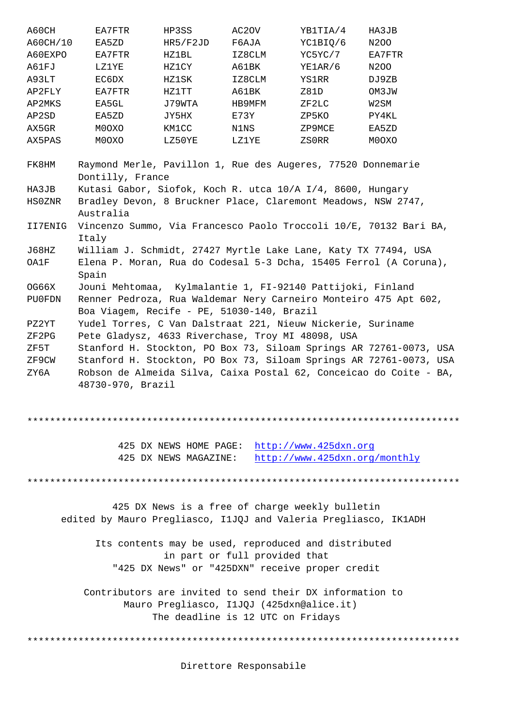| A00C <sub>H</sub> /10 | <b>DAJAD</b>                                                                                                                             | UKJ/FZUD | T UAU A | <u>ICTOIV</u> V | <b>IVZUU</b>                                                       |  |  |  |
|-----------------------|------------------------------------------------------------------------------------------------------------------------------------------|----------|---------|-----------------|--------------------------------------------------------------------|--|--|--|
| A60EXPO               | EA7FTR                                                                                                                                   | HZ1BL    | IZ8CLM  | YC5YC/7         | EA7FTR                                                             |  |  |  |
| A61FJ                 | LZ1YE                                                                                                                                    | HZ1CY    | A61BK   | YE1AR/6         | N200                                                               |  |  |  |
| A93LT                 | EC6DX                                                                                                                                    | HZ1SK    | IZ8CLM  | YS1RR           | DJ9ZB                                                              |  |  |  |
| AP2FLY                | EA7FTR                                                                                                                                   | HZ1TT    | A61BK   | Z81D            | OM3JW                                                              |  |  |  |
| AP2MKS                | EA5GL                                                                                                                                    | J79WTA   | HB9MFM  | ZF2LC           | W2SM                                                               |  |  |  |
| AP2SD                 | EA5ZD                                                                                                                                    | JY5HX    | E73Y    | ZP5KO           | PY4KL                                                              |  |  |  |
| AX5GR                 | M0OXO                                                                                                                                    | KM1CC    | N1NS    | ZP9MCE          | EA5ZD                                                              |  |  |  |
| AX5PAS                | M0OXO                                                                                                                                    | LZ50YE   | LZ1YE   | ZSORR           | M0OXO                                                              |  |  |  |
| FK8HM                 | Raymond Merle, Pavillon 1, Rue des Augeres, 77520 Donnemarie<br>Dontilly, France                                                         |          |         |                 |                                                                    |  |  |  |
| HA3JB                 | Kutasi Gabor, Siofok, Koch R. utca 10/A I/4, 8600, Hungary                                                                               |          |         |                 |                                                                    |  |  |  |
| HS0ZNR                | Bradley Devon, 8 Bruckner Place, Claremont Meadows, NSW 2747,                                                                            |          |         |                 |                                                                    |  |  |  |
|                       | Australia                                                                                                                                |          |         |                 |                                                                    |  |  |  |
| II7ENIG               | Vincenzo Summo, Via Francesco Paolo Troccoli 10/E, 70132 Bari BA,                                                                        |          |         |                 |                                                                    |  |  |  |
|                       | Italy                                                                                                                                    |          |         |                 |                                                                    |  |  |  |
| J68HZ                 | William J. Schmidt, 27427 Myrtle Lake Lane, Katy TX 77494, USA                                                                           |          |         |                 |                                                                    |  |  |  |
| OA1F                  | Elena P. Moran, Rua do Codesal 5-3 Dcha, 15405 Ferrol (A Coruna),<br>Spain                                                               |          |         |                 |                                                                    |  |  |  |
| OG66X                 |                                                                                                                                          |          |         |                 |                                                                    |  |  |  |
| PU0FDN                | Jouni Mehtomaa, Kylmalantie 1, FI-92140 Pattijoki, Finland                                                                               |          |         |                 |                                                                    |  |  |  |
|                       | Renner Pedroza, Rua Waldemar Nery Carneiro Monteiro 475 Apt 602,<br>Boa Viagem, Recife - PE, 51030-140, Brazil                           |          |         |                 |                                                                    |  |  |  |
| PZ2YT                 |                                                                                                                                          |          |         |                 |                                                                    |  |  |  |
| ZF2PG                 | Yudel Torres, C Van Dalstraat 221, Nieuw Nickerie, Suriname                                                                              |          |         |                 |                                                                    |  |  |  |
| ZF5T                  | Pete Gladysz, 4633 Riverchase, Troy MI 48098, USA                                                                                        |          |         |                 |                                                                    |  |  |  |
|                       | Stanford H. Stockton, PO Box 73, Siloam Springs AR 72761-0073, USA<br>Stanford H. Stockton, PO Box 73, Siloam Springs AR 72761-0073, USA |          |         |                 |                                                                    |  |  |  |
| ZF9CW                 |                                                                                                                                          |          |         |                 |                                                                    |  |  |  |
| ZY6A                  |                                                                                                                                          |          |         |                 | Robson de Almeida Silva, Caixa Postal 62, Conceicao do Coite - BA, |  |  |  |
|                       | 48730-970, Brazil                                                                                                                        |          |         |                 |                                                                    |  |  |  |

\*\*\*\*\*\*\*\*\*\*\*\*\*\*\*\*\*\*\*\*\*\*\*\*\*\*\*\*\*\*\*\*\*\*\*\*\*\*\*\*\*\*\*\*\*\*\*\*\*\*\*\*\*\*\*\*\*\*\*\*\*\*\*\*\*\*\*\*\*\*\*\*\*\*\*\*

|                       | 425 DX NEWS HOME PAGE: http://www.425dxn.org |  |                               |
|-----------------------|----------------------------------------------|--|-------------------------------|
| 425 DX NEWS MAGAZINE: |                                              |  | http://www.425dxn.org/monthly |

\*\*\*\*\*\*\*\*\*\*\*\*\*\*\*\*\*\*\*\*\*\*\*\*\*\*\*\*\*\*\*\*\*\*\*\*\*\*\*[\\*\\*\\*\\*\\*\\*\\*\\*\\*\\*\\*\\*\\*\\*\\*\\*\\*\\*\\*\\*\\*\\*\\*](http://www.425dxn.org)\*\*\*\*\*\*\*\*\*\*\*\*\*\*

 425 DX News is a free of [charge weekly bulletin](http://www.425dxn.org/monthly) edited by Mauro Pregliasco, I1JQJ and Valeria Pregliasco, IK1ADH

 Its contents may be used, reproduced and distributed in part or full provided that "425 DX News" or "425DXN" receive proper credit

 Contributors are invited to send their DX information to Mauro Pregliasco, I1JQJ (425dxn@alice.it) The deadline is 12 UTC on Fridays

\*\*\*\*\*\*\*\*\*\*\*\*\*\*\*\*\*\*\*\*\*\*\*\*\*\*\*\*\*\*\*\*\*\*\*\*\*\*\*\*\*\*\*\*\*\*\*\*\*\*\*\*\*\*\*\*\*\*\*\*\*\*\*\*\*\*\*\*\*\*\*\*\*\*\*\*

Direttore Responsabile